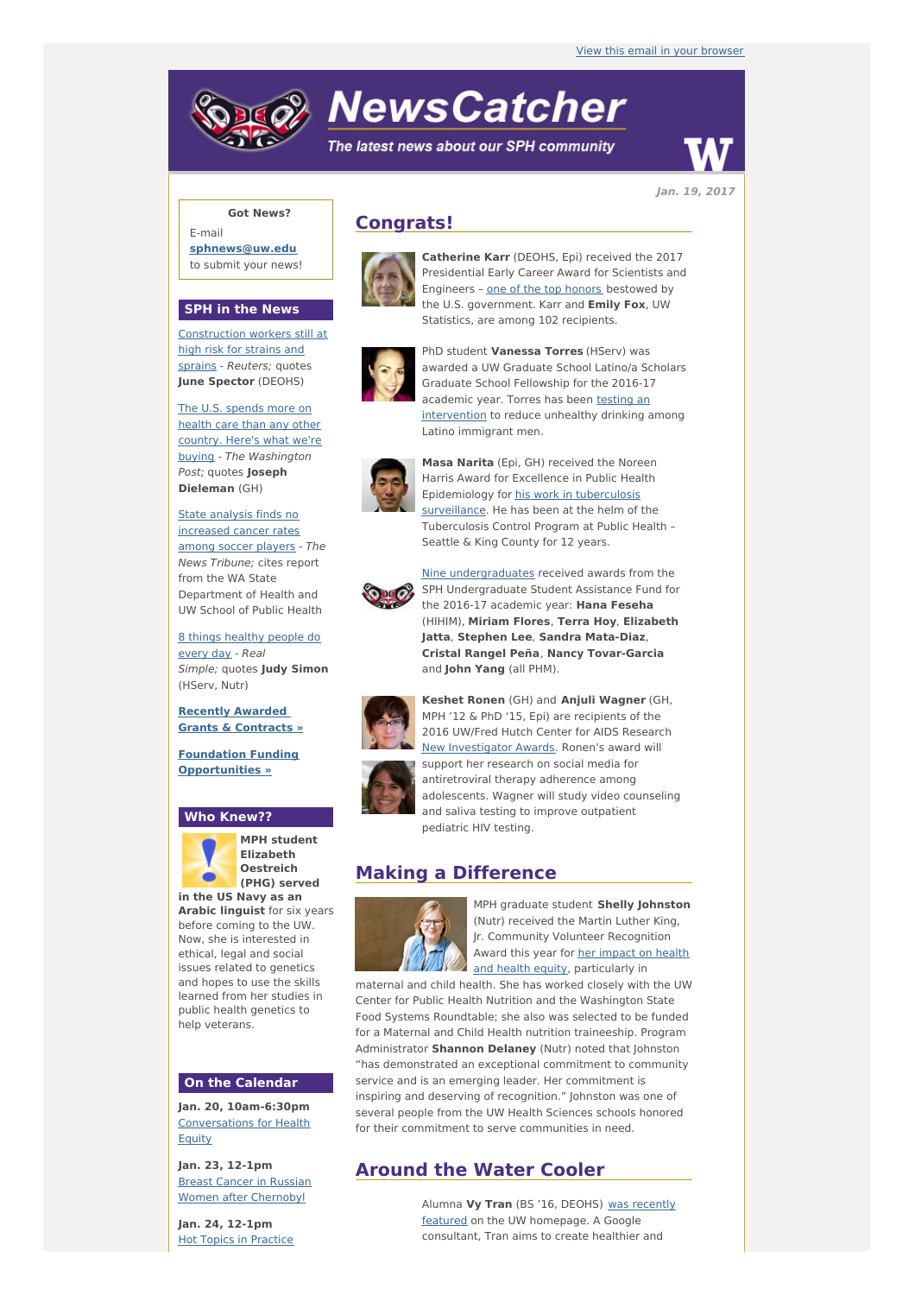# **NewsCatcher**

The latest news about our SPH community



**Jan. 19, 2017**

## **Got News?**

E-mail **[sphnews@uw.edu](mailto:sphnews@uw.edu)** to submit your news!

### **SPH in the News**

[Construction](http://engage.washington.edu/site/R?i=QwERmsmNfzjbxIv_nUE1Zw) workers still at high risk for strains and sprains - Reuters; quotes **June Spector** (DEOHS)

The U.S. spends more on health care than any other country. Here's what we're buying - The [Washington](http://engage.washington.edu/site/R?i=n9l7GwPaq9G3pIJEvO7Fgg) Post; quotes **Joseph Dieleman** (GH)

State analysis finds no [increased](http://engage.washington.edu/site/R?i=Geq5y__DA--rxOmtXL9Hww) cancer rates among soccer players - The News Tribune; cites report from the WA State Department of Health and UW School of Public Health

8 things [healthy](http://engage.washington.edu/site/R?i=NHHZ-qTCImHmP8w0YmpOmw) people do every day - Real Simple; quotes **Judy Simon** (HServ, Nutr)

**Recently Awarded Grants & [Contracts](http://engage.washington.edu/site/R?i=jNSYaksGtVDL4uS-oJQ_Pw) »**

**Foundation Funding [Opportunities](http://engage.washington.edu/site/R?i=0C9J8670bG8y7007H-srJA) »**

#### **Who Knew??**



**(PHG) served in the US Navy as an Arabic linguist** for six years before coming to the UW. Now, she is interested in ethical, legal and social

issues related to genetics and hopes to use the skills learned from her studies in public health genetics to help veterans.

## **On the Calendar**

**Jan. 20, 10am-6:30pm** [Conversations](http://engage.washington.edu/site/R?i=FUBeiCa0PF_hcak1YlAP4A) for Health Equity

**Jan. 23, 12-1pm** Breast Cancer in Russian Women after [Chernobyl](http://engage.washington.edu/site/R?i=34XnpkGBoN6cS3vMNDBlqg)

**Jan. 24, 12-1pm** Hot Topics in Practice

## **Congrats!**



**Catherine Karr** (DEOHS, Epi) received the 2017 Presidential Early Career Award for Scientists and Engineers - one of the top [honors](http://engage.washington.edu/site/R?i=ZrxXPt42TvsgmmWGdPkHhA) bestowed by the U.S. government. Karr and **Emily Fox**, UW Statistics, are among 102 recipients.



PhD student **Vanessa Torres** (HServ) was awarded a UW Graduate School Latino/a Scholars Graduate School Fellowship for the 2016-17 academic year. Torres has been testing an [intervention](http://engage.washington.edu/site/R?i=PWkIxpmE_y1-7WzkypjEBA) to reduce unhealthy drinking among Latino immigrant men.



**Masa Narita** (Epi, GH) received the Noreen Harris Award for Excellence in Public Health [Epidemiology](http://engage.washington.edu/site/R?i=-BGENYCQea8Fd0E9Cyrk9Q) for his work in tuberculosis surveillance. He has been at the helm of the Tuberculosis Control Program at Public Health – Seattle & King County for 12 years.



Nine [undergraduates](http://engage.washington.edu/site/R?i=CdY3oFA7z6nFlxMbAOvaQA) received awards from the SPH Undergraduate Student Assistance Fund for the 2016-17 academic year: **Hana Feseha** (HIHIM), **Miriam Flores**, **Terra Hoy**, **Elizabeth Jatta**, **Stephen Lee**, **Sandra Mata-Diaz**, **Cristal Rangel Peña**, **Nancy Tovar-Garcia** and **John Yang** (all PHM).



**Keshet Ronen** (GH) and **Anjuli Wagner** (GH, MPH '12 & PhD '15, Epi) are recipients of the 2016 UW/Fred Hutch Center for AIDS Research New [Investigator](http://engage.washington.edu/site/R?i=5sL-saTADgsNF_7TF3sfMA) Awards. Ronen's award will support her research on social media for antiretroviral therapy adherence among adolescents. Wagner will study video counseling and saliva testing to improve outpatient pediatric HIV testing.

## **Making a Difference**



MPH graduate student **Shelly Johnston** (Nutr) received the Martin Luther King, Jr. Community Volunteer Recognition Award this year for her impact on health and health equity, [particularly](http://engage.washington.edu/site/R?i=UMMqPKmMoNkZabEjpGCGrg) in

maternal and child health. She has worked closely with the UW Center for Public Health Nutrition and the Washington State Food Systems Roundtable; she also was selected to be funded for a Maternal and Child Health nutrition traineeship. Program Administrator **Shannon Delaney** (Nutr) noted that Johnston "has demonstrated an exceptional commitment to community service and is an emerging leader. Her commitment is inspiring and deserving of recognition." Johnston was one of several people from the UW Health Sciences schools honored for their commitment to serve communities in need.

# **Around the Water Cooler**

Alumna **Vy Tran** (BS '16, DEOHS) was recently featured on the UW [homepage.](http://engage.washington.edu/site/R?i=TI6AZcv3CJJLSj7CtMK5TQ) A Google consultant, Tran aims to create healthier and